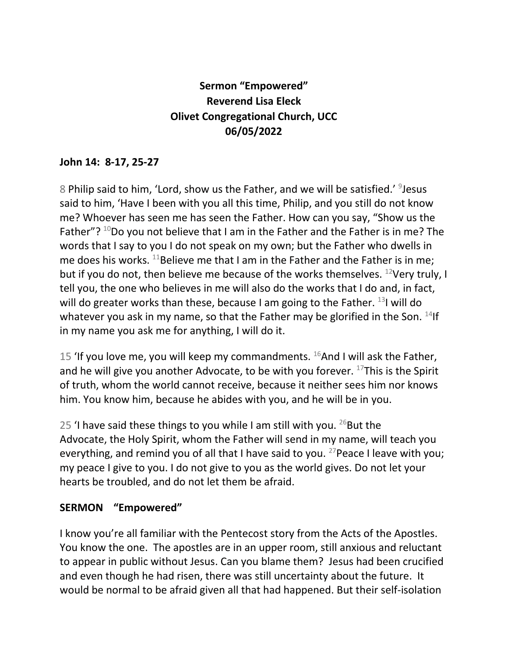## **Sermon "Empowered" Reverend Lisa Eleck Olivet Congregational Church, UCC 06/05/2022**

## **John 14: 8-17, 25-27**

8 Philip said to him, 'Lord, show us the Father, and we will be satisfied.' <sup>9</sup>Jesus said to him, 'Have I been with you all this time, Philip, and you still do not know me? Whoever has seen me has seen the Father. How can you say, "Show us the Father"?  $10D$ o you not believe that I am in the Father and the Father is in me? The words that I say to you I do not speak on my own; but the Father who dwells in me does his works. <sup>11</sup>Believe me that I am in the Father and the Father is in me; but if you do not, then believe me because of the works themselves.  $^{12}$ Very truly, I tell you, the one who believes in me will also do the works that I do and, in fact, will do greater works than these, because I am going to the Father.  $^{13}$ I will do whatever you ask in my name, so that the Father may be glorified in the Son. <sup>14</sup>If in my name you ask me for anything, I will do it.

15 'If you love me, you will keep my commandments.  $^{16}$ And I will ask the Father, and he will give you another Advocate, to be with you forever.  $17$ This is the Spirit of truth, whom the world cannot receive, because it neither sees him nor knows him. You know him, because he abides with you, and he will be in you.

25 'I have said these things to you while I am still with you.  $^{26}$ But the Advocate, the Holy Spirit, whom the Father will send in my name, will teach you everything, and remind you of all that I have said to you. <sup>27</sup> Peace I leave with you; my peace I give to you. I do not give to you as the world gives. Do not let your hearts be troubled, and do not let them be afraid.

## **SERMON "Empowered"**

I know you're all familiar with the Pentecost story from the Acts of the Apostles. You know the one. The apostles are in an upper room, still anxious and reluctant to appear in public without Jesus. Can you blame them? Jesus had been crucified and even though he had risen, there was still uncertainty about the future. It would be normal to be afraid given all that had happened. But their self-isolation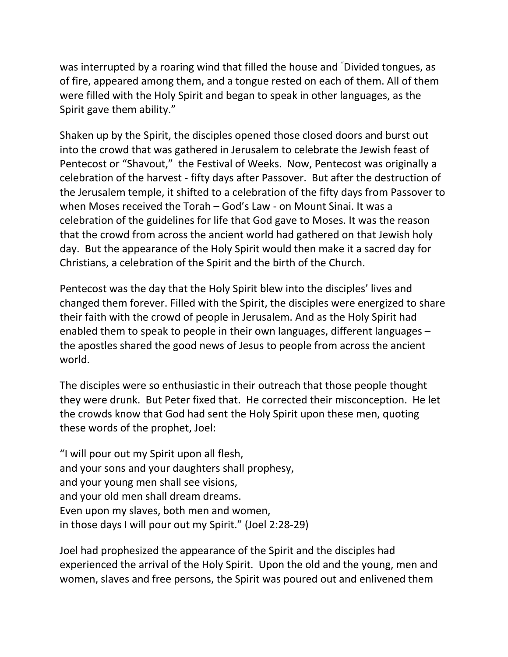was interrupted by a roaring wind that filled the house and "Divided tongues, as of fire, appeared among them, and a tongue rested on each of them. All of them were filled with the Holy Spirit and began to speak in other languages, as the Spirit gave them ability."

Shaken up by the Spirit, the disciples opened those closed doors and burst out into the crowd that was gathered in Jerusalem to celebrate the Jewish feast of Pentecost or "Shavout," the Festival of Weeks. Now, Pentecost was originally a celebration of the harvest - fifty days after Passover. But after the destruction of the Jerusalem temple, it shifted to a celebration of the fifty days from Passover to when Moses received the Torah – God's Law - on Mount Sinai. It was a celebration of the guidelines for life that God gave to Moses. It was the reason that the crowd from across the ancient world had gathered on that Jewish holy day. But the appearance of the Holy Spirit would then make it a sacred day for Christians, a celebration of the Spirit and the birth of the Church.

Pentecost was the day that the Holy Spirit blew into the disciples' lives and changed them forever. Filled with the Spirit, the disciples were energized to share their faith with the crowd of people in Jerusalem. And as the Holy Spirit had enabled them to speak to people in their own languages, different languages – the apostles shared the good news of Jesus to people from across the ancient world.

The disciples were so enthusiastic in their outreach that those people thought they were drunk. But Peter fixed that. He corrected their misconception. He let the crowds know that God had sent the Holy Spirit upon these men, quoting these words of the prophet, Joel:

"I will pour out my Spirit upon all flesh, and your sons and your daughters shall prophesy, and your young men shall see visions, and your old men shall dream dreams. Even upon my slaves, both men and women, in those days I will pour out my Spirit." (Joel 2:28-29)

Joel had prophesized the appearance of the Spirit and the disciples had experienced the arrival of the Holy Spirit. Upon the old and the young, men and women, slaves and free persons, the Spirit was poured out and enlivened them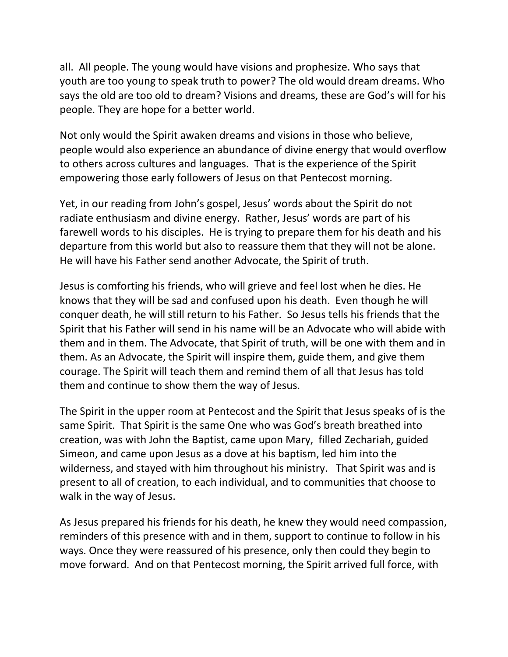all. All people. The young would have visions and prophesize. Who says that youth are too young to speak truth to power? The old would dream dreams. Who says the old are too old to dream? Visions and dreams, these are God's will for his people. They are hope for a better world.

Not only would the Spirit awaken dreams and visions in those who believe, people would also experience an abundance of divine energy that would overflow to others across cultures and languages. That is the experience of the Spirit empowering those early followers of Jesus on that Pentecost morning.

Yet, in our reading from John's gospel, Jesus' words about the Spirit do not radiate enthusiasm and divine energy. Rather, Jesus' words are part of his farewell words to his disciples. He is trying to prepare them for his death and his departure from this world but also to reassure them that they will not be alone. He will have his Father send another Advocate, the Spirit of truth.

Jesus is comforting his friends, who will grieve and feel lost when he dies. He knows that they will be sad and confused upon his death. Even though he will conquer death, he will still return to his Father. So Jesus tells his friends that the Spirit that his Father will send in his name will be an Advocate who will abide with them and in them. The Advocate, that Spirit of truth, will be one with them and in them. As an Advocate, the Spirit will inspire them, guide them, and give them courage. The Spirit will teach them and remind them of all that Jesus has told them and continue to show them the way of Jesus.

The Spirit in the upper room at Pentecost and the Spirit that Jesus speaks of is the same Spirit. That Spirit is the same One who was God's breath breathed into creation, was with John the Baptist, came upon Mary, filled Zechariah, guided Simeon, and came upon Jesus as a dove at his baptism, led him into the wilderness, and stayed with him throughout his ministry. That Spirit was and is present to all of creation, to each individual, and to communities that choose to walk in the way of Jesus.

As Jesus prepared his friends for his death, he knew they would need compassion, reminders of this presence with and in them, support to continue to follow in his ways. Once they were reassured of his presence, only then could they begin to move forward. And on that Pentecost morning, the Spirit arrived full force, with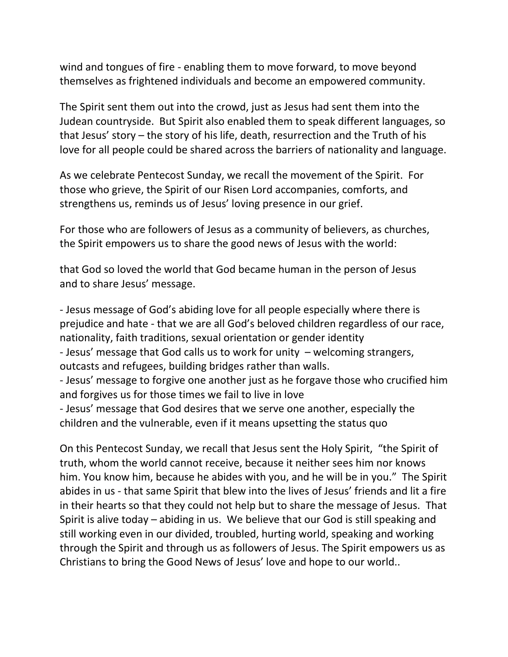wind and tongues of fire - enabling them to move forward, to move beyond themselves as frightened individuals and become an empowered community.

The Spirit sent them out into the crowd, just as Jesus had sent them into the Judean countryside. But Spirit also enabled them to speak different languages, so that Jesus' story – the story of his life, death, resurrection and the Truth of his love for all people could be shared across the barriers of nationality and language.

As we celebrate Pentecost Sunday, we recall the movement of the Spirit. For those who grieve, the Spirit of our Risen Lord accompanies, comforts, and strengthens us, reminds us of Jesus' loving presence in our grief.

For those who are followers of Jesus as a community of believers, as churches, the Spirit empowers us to share the good news of Jesus with the world:

that God so loved the world that God became human in the person of Jesus and to share Jesus' message.

- Jesus message of God's abiding love for all people especially where there is prejudice and hate - that we are all God's beloved children regardless of our race, nationality, faith traditions, sexual orientation or gender identity - Jesus' message that God calls us to work for unity – welcoming strangers, outcasts and refugees, building bridges rather than walls. - Jesus' message to forgive one another just as he forgave those who crucified him and forgives us for those times we fail to live in love

- Jesus' message that God desires that we serve one another, especially the children and the vulnerable, even if it means upsetting the status quo

On this Pentecost Sunday, we recall that Jesus sent the Holy Spirit, "the Spirit of truth, whom the world cannot receive, because it neither sees him nor knows him. You know him, because he abides with you, and he will be in you." The Spirit abides in us - that same Spirit that blew into the lives of Jesus' friends and lit a fire in their hearts so that they could not help but to share the message of Jesus. That Spirit is alive today – abiding in us. We believe that our God is still speaking and still working even in our divided, troubled, hurting world, speaking and working through the Spirit and through us as followers of Jesus. The Spirit empowers us as Christians to bring the Good News of Jesus' love and hope to our world..